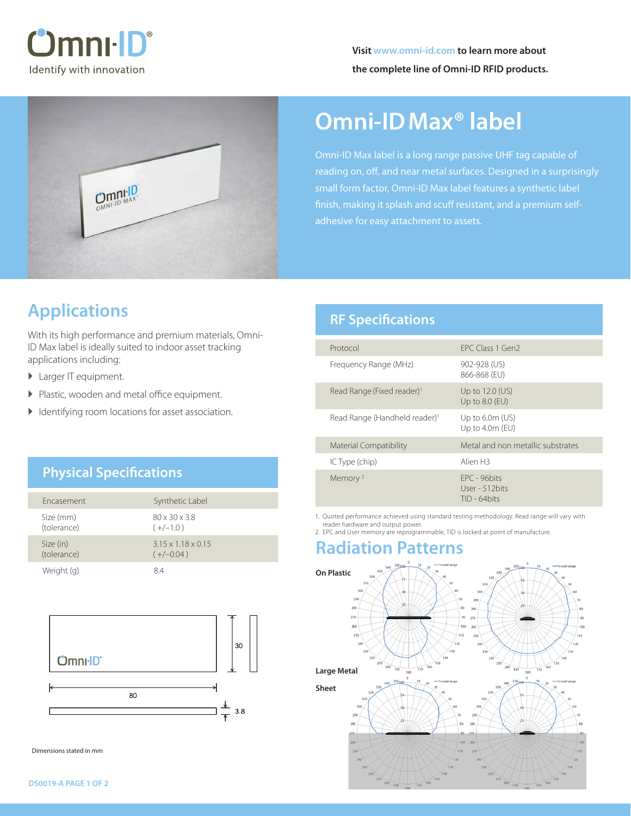



# **Omni-IDMax® label**

Omni-ID Max label is a long range passive UHF tag capable of reading on, off, and near metal surfaces. Designed in a surprisingly small form factor, Omni-ID Max label features a synthetic label finish, making it splash and scuff resistant, and a premium selfadhesive for easy attachment to assets.

## **Applications**

With its high performance and premium materials, Omni-ID Max label is ideally suited to indoor asset tracking applications including:

- ▶ Larger IT equipment.
- � Plastic, wooden and metal office equipment.
- � Identifying room locations for asset association.

## **Physical Specifications**

| <b>Fncasement</b>        | Synthetic Label                               |
|--------------------------|-----------------------------------------------|
| Size (mm)<br>(tolerance) | $80 \times 30 \times 3.8$<br>$(+/-1.0)$       |
| Size (in)<br>(tolerance) | $3.15 \times 1.18 \times 0.15$<br>$(+/-0.04)$ |
| Weight (g)               | 84                                            |



Dimensions stated in mm

## **RF Specifications**

| Protocol                                  | FPC Class 1 Gen2                                  |
|-------------------------------------------|---------------------------------------------------|
| Frequency Range (MHz)                     | 902-928 (US)<br>866-868 (EU)                      |
| Read Range (Fixed reader) <sup>1</sup>    | Up to 12.0 (US)<br>Up to 8.0 (EU)                 |
| Read Range (Handheld reader) <sup>1</sup> | Up to $6.0m$ (US)<br>Up to $4.0m$ (EU)            |
| <b>Material Compatibility</b>             | Metal and non metallic substrates                 |
| IC Type (chip)                            | Alien <sub>H3</sub>                               |
| Memory <sup>2</sup>                       | FPC - 96bits<br>User - 512 bits<br>$TID - 64bits$ |

1. Quoted performance achieved using standard testing methodology. Read range will vary with reader hardware and output power.

2. EPC and User memory are reprogrammable, TID is locked at point of manufacture.

## **Radiation Patterns**